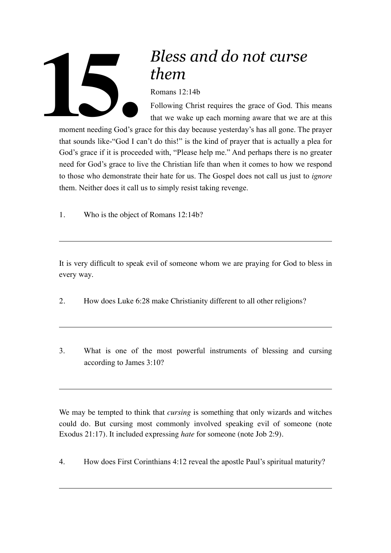

## *Bless and do not curse them*

Romans 12:14b

Following Christ requires the grace of God. This means that we wake up each morning aware that we are at this

moment needing God's grace for this day because yesterday's has all gone. The prayer that sounds like-"God I can't do this!" is the kind of prayer that is actually a plea for God's grace if it is proceeded with, "Please help me." And perhaps there is no greater need for God's grace to live the Christian life than when it comes to how we respond to those who demonstrate their hate for us. The Gospel does not call us just to *ignore* them. Neither does it call us to simply resist taking revenge.

1. Who is the object of Romans 12:14b?

It is very difficult to speak evil of someone whom we are praying for God to bless in every way.

- 2. How does Luke 6:28 make Christianity different to all other religions?
- 3. What is one of the most powerful instruments of blessing and cursing according to James 3:10?

We may be tempted to think that *cursing* is something that only wizards and witches could do. But cursing most commonly involved speaking evil of someone (note Exodus 21:17). It included expressing *hate* for someone (note Job 2:9).

4. How does First Corinthians 4:12 reveal the apostle Paul's spiritual maturity?